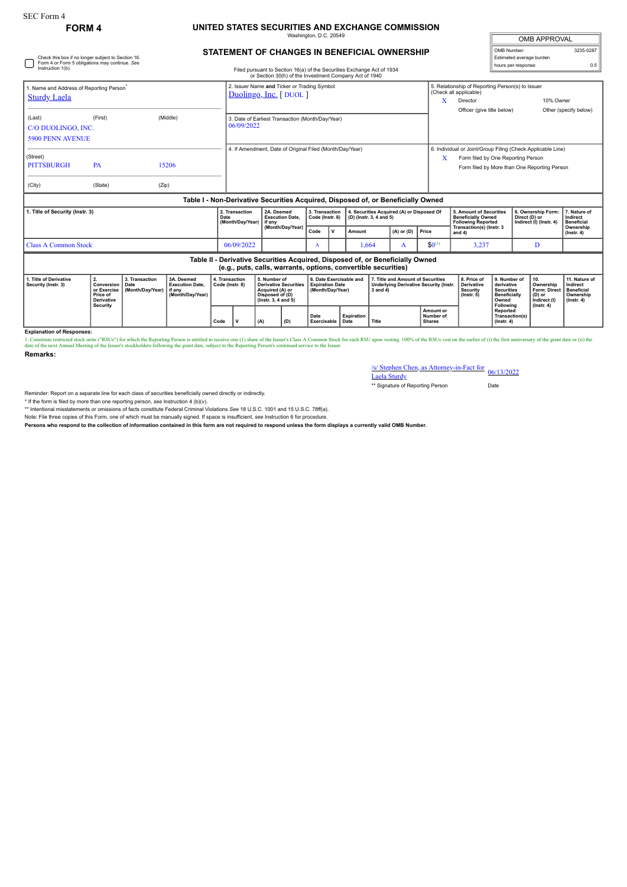## SEC Form 4

Check this box if no longer subject to Section 16. Form 4 or Form 5 obligations may continue. *See*

## **FORM 4 UNITED STATES SECURITIES AND EXCHANGE COMMISSION** ington, D.C. 20

| <b>OMB APPROVAL</b>      |           |  |  |  |  |  |  |  |
|--------------------------|-----------|--|--|--|--|--|--|--|
| OMB Number:              | 3235-0287 |  |  |  |  |  |  |  |
| Estimated average burden |           |  |  |  |  |  |  |  |
| hours per response:      |           |  |  |  |  |  |  |  |

## **STATEMENT OF CHANGES IN BENEFICIAL OWNERSHIP**

| Instruction 1(b).                                                           |                                                                  |                                            |                                                                                  | Filed pursuant to Section 16(a) of the Securities Exchange Act of 1934<br>or Section 30(h) of the Investment Company Act of 1940 |                                                                |                                                                                                              |                                                                |                                                                       |              |                   |                         |                                                                               |                                                                                    | <b>NORTH POINT CONTROL</b>                                                                                                                        |                                                                                 |                                                                                       |                                                                          |  |
|-----------------------------------------------------------------------------|------------------------------------------------------------------|--------------------------------------------|----------------------------------------------------------------------------------|----------------------------------------------------------------------------------------------------------------------------------|----------------------------------------------------------------|--------------------------------------------------------------------------------------------------------------|----------------------------------------------------------------|-----------------------------------------------------------------------|--------------|-------------------|-------------------------|-------------------------------------------------------------------------------|------------------------------------------------------------------------------------|---------------------------------------------------------------------------------------------------------------------------------------------------|---------------------------------------------------------------------------------|---------------------------------------------------------------------------------------|--------------------------------------------------------------------------|--|
| 1. Name and Address of Reporting Person <sup>®</sup><br><b>Sturdy Laela</b> |                                                                  |                                            |                                                                                  |                                                                                                                                  |                                                                | 2. Issuer Name and Ticker or Trading Symbol<br>Duolingo, Inc. [DUOL]                                         |                                                                |                                                                       |              |                   |                         |                                                                               |                                                                                    | 5. Relationship of Reporting Person(s) to Issuer<br>(Check all applicable)<br>10% Owner<br>X<br>Director<br>Officer (give title below)            |                                                                                 |                                                                                       |                                                                          |  |
| (Last)<br>C/O DUOLINGO, INC.<br><b>5900 PENN AVENUE</b>                     | (First)                                                          |                                            | (Middle)                                                                         |                                                                                                                                  | 3. Date of Earliest Transaction (Month/Day/Year)<br>06/09/2022 |                                                                                                              |                                                                |                                                                       |              |                   |                         |                                                                               |                                                                                    |                                                                                                                                                   |                                                                                 |                                                                                       | Other (specify below)                                                    |  |
| (Street)<br>PA<br><b>PITTSBURGH</b><br>15206<br>(City)<br>(State)<br>(Zip)  |                                                                  |                                            |                                                                                  |                                                                                                                                  |                                                                | 4. If Amendment, Date of Original Filed (Month/Day/Year)                                                     |                                                                |                                                                       |              |                   |                         |                                                                               | x                                                                                  | 6. Individual or Joint/Group Filing (Check Applicable Line)<br>Form filed by One Reporting Person<br>Form filed by More than One Reporting Person |                                                                                 |                                                                                       |                                                                          |  |
|                                                                             |                                                                  |                                            | Table I - Non-Derivative Securities Acquired, Disposed of, or Beneficially Owned |                                                                                                                                  |                                                                |                                                                                                              |                                                                |                                                                       |              |                   |                         |                                                                               |                                                                                    |                                                                                                                                                   |                                                                                 |                                                                                       |                                                                          |  |
| 1. Title of Security (Instr. 3)                                             |                                                                  |                                            |                                                                                  | Date                                                                                                                             | 2. Transaction<br>(Month/Day/Year)                             | 2A. Deemed<br><b>Execution Date.</b><br>if any                                                               |                                                                | 3. Transaction<br>Code (Instr. 8)                                     |              |                   | (D) (Instr. 3, 4 and 5) | 4. Securities Acquired (A) or Disposed Of                                     |                                                                                    | 5. Amount of Securities<br><b>Beneficially Owned</b><br><b>Following Reported</b>                                                                 |                                                                                 | 6. Ownership Form<br>Direct (D) or<br>Indirect (I) (Instr. 4)                         | 7. Nature of<br>Indirect<br><b>Beneficial</b>                            |  |
|                                                                             |                                                                  |                                            |                                                                                  |                                                                                                                                  |                                                                |                                                                                                              | (Month/Day/Year)                                               |                                                                       | $\mathsf{v}$ | Amount            | $(A)$ or $(D)$          |                                                                               | Price                                                                              | Transaction(s) (Instr. 3<br>and 4)                                                                                                                |                                                                                 |                                                                                       | Ownership<br>$($ Instr. 4 $)$                                            |  |
| <b>Class A Common Stock</b>                                                 |                                                                  |                                            |                                                                                  |                                                                                                                                  | 06/09/2022                                                     |                                                                                                              | A                                                              |                                                                       |              | 1,664             | A                       | $$0^{(1)}$$                                                                   | 3,237                                                                              |                                                                                                                                                   | D                                                                               |                                                                                       |                                                                          |  |
|                                                                             |                                                                  |                                            |                                                                                  |                                                                                                                                  |                                                                |                                                                                                              | (e.g., puts, calls, warrants, options, convertible securities) |                                                                       |              |                   |                         | Table II - Derivative Securities Acquired, Disposed of, or Beneficially Owned |                                                                                    |                                                                                                                                                   |                                                                                 |                                                                                       |                                                                          |  |
| 1. Title of Derivative<br>Security (Instr. 3)                               | 2.<br>Conversion<br>or Exercise<br>Price of<br><b>Derivative</b> | 3. Transaction<br>Date<br>(Month/Day/Year) | 3A. Deemed<br><b>Execution Date,</b><br>if anv<br>(Month/Day/Year)               | 4. Transaction<br>Code (Instr. 8)                                                                                                |                                                                | 5. Number of<br><b>Derivative Securities</b><br>Acquired (A) or<br>Disposed of (D)<br>$($ lnstr. 3, 4 and 5) |                                                                | 6. Date Exercisable and<br><b>Expiration Date</b><br>(Month/Day/Year) |              |                   | $3$ and $4)$            |                                                                               | 7. Title and Amount of Securities<br><b>Underlying Derivative Security (Instr.</b> | 8. Price of<br><b>Derivative</b><br><b>Security</b><br>$($ lnstr. 5 $)$                                                                           | 9. Number of<br>derivative<br><b>Securities</b><br><b>Beneficially</b><br>Owned | 10.<br>Ownership<br><b>Form: Direct</b><br>(D) or<br>Indirect (I)<br>$($ Instr. 4 $)$ | 11. Nature of<br>Indirect<br>Beneficial<br>Ownership<br>$($ lnstr. 4 $)$ |  |
|                                                                             | Security                                                         |                                            |                                                                                  | Code                                                                                                                             | v                                                              | (A)                                                                                                          | (D)                                                            | Date<br>Exercisable<br>Date                                           |              | <b>Expiration</b> | Title                   |                                                                               | Amount or<br>Number of<br><b>Shares</b>                                            |                                                                                                                                                   | Following<br>Reported<br>Transaction(s)<br>$($ lnstr, 4 $)$                     |                                                                                       |                                                                          |  |

**Explanation of Responses:**

1. Constitute restricted stock units ("RSUs") for which the Reporting Person is entitled to receive one (1) share of the 1suer's Class A Common Stock for each RSU upon vesting. 100% of the RSUs vest on the earlier of (i) t **Remarks:**

/s/ Stephen Chen, as Attorney-in-Fact for 06/13/2022<br>Laela Sturdy

\*\* Signature of Reporting Person Date

Reminder: Report on a separate line for each class of securities beneficially owned directly or indirectly.

\* If the form is filed by more than one reporting person, *see* Instruction 4 (b)(v).

\*\* Intentional misstatements or omissions of facts constitute Federal Criminal Violations *See* 18 U.S.C. 1001 and 15 U.S.C. 78ff(a).

Note: File three copies of this Form, one of which must be manually signed. If space is insufficient, *see* Instruction 6 for procedure.

**Persons who respond to the collection of information contained in this form are not required to respond unless the form displays a currently valid OMB Number.**